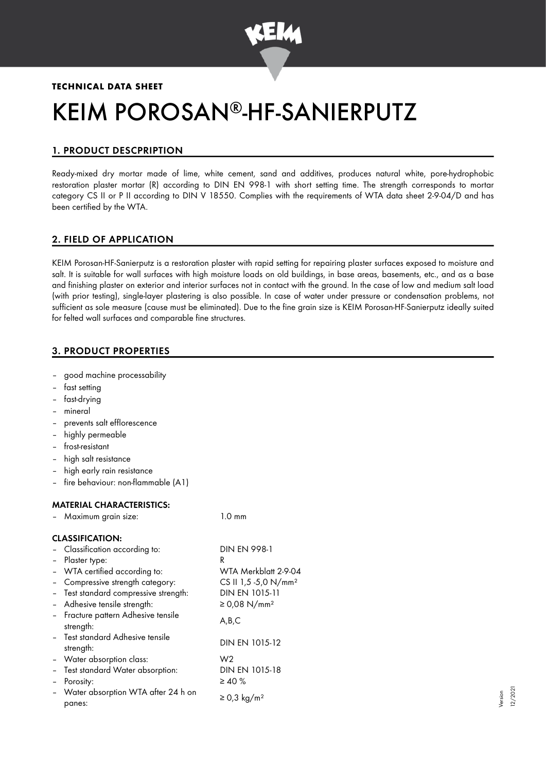

# **TECHNICAL DATA SHEET**

# KEIM POROSAN®-HF-SANIERPUTZ

# 1. PRODUCT DESCPRIPTION

Ready-mixed dry mortar made of lime, white cement, sand and additives, produces natural white, pore-hydrophobic restoration plaster mortar (R) according to DIN EN 998-1 with short setting time. The strength corresponds to mortar category CS II or P II according to DIN V 18550. Complies with the requirements of WTA data sheet 2-9-04/D and has been certified by the WTA.

# 2. FIELD OF APPLICATION

KEIM Porosan-HF-Sanierputz is a restoration plaster with rapid setting for repairing plaster surfaces exposed to moisture and salt. It is suitable for wall surfaces with high moisture loads on old buildings, in base areas, basements, etc., and as a base and finishing plaster on exterior and interior surfaces not in contact with the ground. In the case of low and medium salt load (with prior testing), single-layer plastering is also possible. In case of water under pressure or condensation problems, not sufficient as sole measure (cause must be eliminated). Due to the fine grain size is KEIM Porosan-HF-Sanierputz ideally suited for felted wall surfaces and comparable fine structures.

# 3. PRODUCT PROPERTIES

- good machine processability
- fast setting
- fast-drying
- mineral
- prevents salt efflorescence
- highly permeable
- frost-resistant
- high salt resistance
- high early rain resistance
- fire behaviour: non-flammable (A1)

# MATERIAL CHARACTERISTICS:

|                          | - Maximum grain size:                            | $1.0 \text{ mm}$                 |
|--------------------------|--------------------------------------------------|----------------------------------|
|                          | <b>CLASSIFICATION:</b>                           |                                  |
|                          | - Classification according to:                   | DIN EN 998-1                     |
| $\overline{\phantom{0}}$ | Plaster type:                                    | R                                |
|                          | - WTA certified according to:                    | WTA Merkblatt 2-9-04             |
|                          | Compressive strength category:                   | CS II 1,5 -5,0 N/mm <sup>2</sup> |
| $\overline{\phantom{0}}$ | Test standard compressive strength:              | DIN EN 1015-11                   |
| $\blacksquare$           | Adhesive tensile strength:                       | ≥ 0,08 N/mm <sup>2</sup>         |
|                          | - Fracture pattern Adhesive tensile<br>strength: | A,B,C                            |
|                          | - Test standard Adhesive tensile<br>strength:    | DIN EN 1015-12                   |
|                          | - Water absorption class:                        | W <sub>2</sub>                   |
|                          | - Test standard Water absorption:                | DIN EN 1015-18                   |
|                          | Porosity:                                        | $\geq 40 \%$                     |
|                          | Water absorption WTA after 24 h on<br>panes:     | $\geq$ 0,3 kg/m <sup>2</sup>     |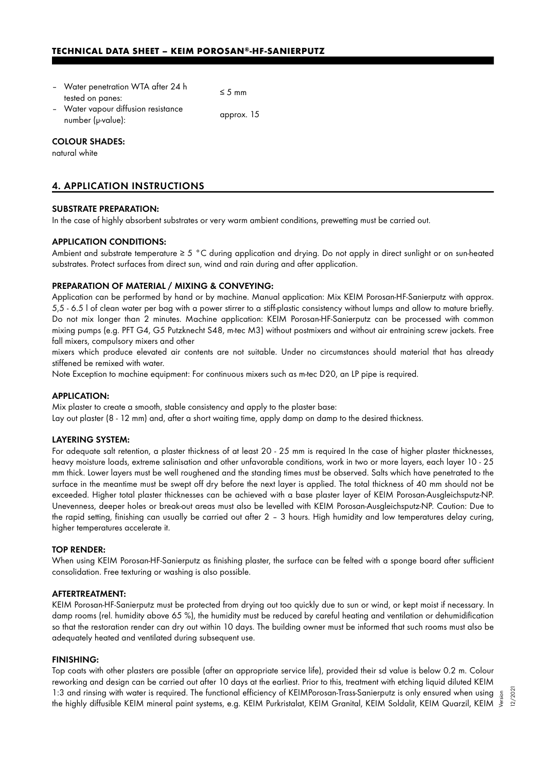- Water penetration WTA after 24 h  $t$  is the performance of  $t$  and  $t$  and  $t$   $\leq$  5 mm tested on panes:
- Water vapour diffusion resistance vvalet vapout almoston resistance<br>number (µ-value): approx. 15

## COLOUR SHADES:

natural white

# 4. APPLICATION INSTRUCTIONS

## SUBSTRATE PREPARATION:

In the case of highly absorbent substrates or very warm ambient conditions, prewetting must be carried out.

## APPLICATION CONDITIONS:

Ambient and substrate temperature ≥ 5 °C during application and drying. Do not apply in direct sunlight or on sun-heated substrates. Protect surfaces from direct sun, wind and rain during and after application.

## PREPARATION OF MATERIAL / MIXING & CONVEYING:

Application can be performed by hand or by machine. Manual application: Mix KEIM Porosan-HF-Sanierputz with approx. 5,5 - 6.5 l of clean water per bag with a power stirrer to a stiff-plastic consistency without lumps and allow to mature briefly. Do not mix longer than 2 minutes. Machine application: KEIM Porosan-HF-Sanierputz can be processed with common mixing pumps (e.g. PFT G4, G5 Putzknecht S48, m-tec M3) without postmixers and without air entraining screw jackets. Free fall mixers, compulsory mixers and other

mixers which produce elevated air contents are not suitable. Under no circumstances should material that has already stiffened be remixed with water.

Note Exception to machine equipment: For continuous mixers such as m-tec D20, an LP pipe is required.

## APPLICATION:

Mix plaster to create a smooth, stable consistency and apply to the plaster base:

Lay out plaster (8 - 12 mm) and, after a short waiting time, apply damp on damp to the desired thickness.

#### LAYERING SYSTEM:

For adequate salt retention, a plaster thickness of at least 20 - 25 mm is required In the case of higher plaster thicknesses, heavy moisture loads, extreme salinisation and other unfavorable conditions, work in two or more layers, each layer 10 - 25 mm thick. Lower layers must be well roughened and the standing times must be observed. Salts which have penetrated to the surface in the meantime must be swept off dry before the next layer is applied. The total thickness of 40 mm should not be exceeded. Higher total plaster thicknesses can be achieved with a base plaster layer of KEIM Porosan-Ausgleichsputz-NP. Unevenness, deeper holes or break-out areas must also be levelled with KEIM Porosan-Ausgleichsputz-NP. Caution: Due to the rapid setting, finishing can usually be carried out after 2 – 3 hours. High humidity and low temperatures delay curing, higher temperatures accelerate it.

#### TOP RENDER:

When using KEIM Porosan-HF-Sanierputz as finishing plaster, the surface can be felted with a sponge board after sufficient consolidation. Free texturing or washing is also possible.

#### AFTERTREATMENT:

KEIM Porosan-HF-Sanierputz must be protected from drying out too quickly due to sun or wind, or kept moist if necessary. In damp rooms (rel. humidity above 65 %), the humidity must be reduced by careful heating and ventilation or dehumidification so that the restoration render can dry out within 10 days. The building owner must be informed that such rooms must also be adequately heated and ventilated during subsequent use.

#### FINISHING:

Top coats with other plasters are possible (after an appropriate service life), provided their sd value is below 0.2 m. Colour reworking and design can be carried out after 10 days at the earliest. Prior to this, treatment with etching liquid diluted KEIM 1:3 and rinsing with water is required. The functional efficiency of KEIMPorosan-Trass-Sanierputz is only ensured when using 1:3 and rinsing with water is required. The functional efficiency of KEIMPorosan-Trass-Sanierputz is only ensured when using  $\frac{5}{8}$ <br>#he highly diffusible KEIM mineral paint systems, e.g. KEIM Purkristalat, KEIM Granital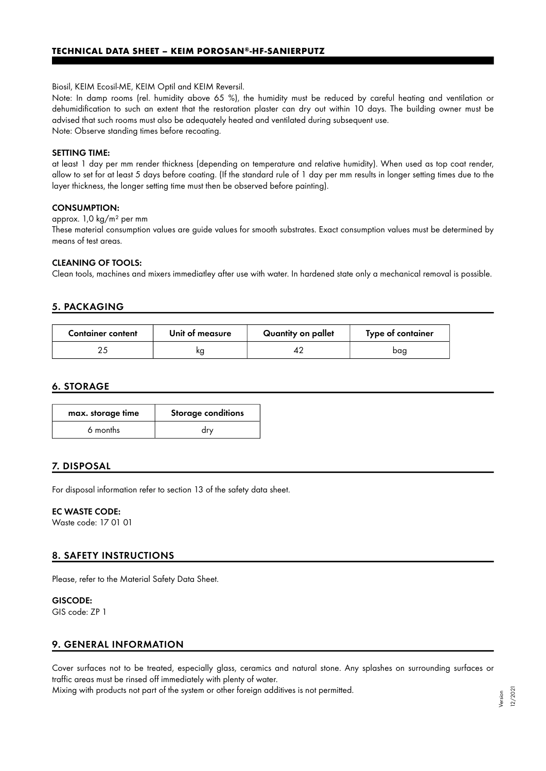Biosil, KEIM Ecosil-ME, KEIM Optil and KEIM Reversil.

Note: In damp rooms (rel. humidity above 65 %), the humidity must be reduced by careful heating and ventilation or dehumidification to such an extent that the restoration plaster can dry out within 10 days. The building owner must be advised that such rooms must also be adequately heated and ventilated during subsequent use. Note: Observe standing times before recoating.

## SETTING TIME:

at least 1 day per mm render thickness (depending on temperature and relative humidity). When used as top coat render, allow to set for at least 5 days before coating. (If the standard rule of 1 day per mm results in longer setting times due to the layer thickness, the longer setting time must then be observed before painting).

## CONSUMPTION:

approx. 1,0 kg/m² per mm

These material consumption values are guide values for smooth substrates. Exact consumption values must be determined by means of test areas.

## CLEANING OF TOOLS:

Clean tools, machines and mixers immediatley after use with water. In hardened state only a mechanical removal is possible.

# 5. PACKAGING

| <b>Container content</b> | Unit of measure | Quantity on pallet | Type of container |
|--------------------------|-----------------|--------------------|-------------------|
|                          | ĸg              |                    | baa               |

## 6. STORAGE

| max. storage time | <b>Storage conditions</b> |
|-------------------|---------------------------|
| 6 months          | drv                       |

# 7. DISPOSAL

For disposal information refer to section 13 of the safety data sheet.

## EC WASTE CODE:

Waste code: 17 01 01

# 8. SAFETY INSTRUCTIONS

Please, refer to the Material Safety Data Sheet.

## GISCODE:

GIS code: ZP 1

# 9. GENERAL INFORMATION

Cover surfaces not to be treated, especially glass, ceramics and natural stone. Any splashes on surrounding surfaces or traffic areas must be rinsed off immediately with plenty of water.

Mixing with products not part of the system or other foreign additives is not permitted.